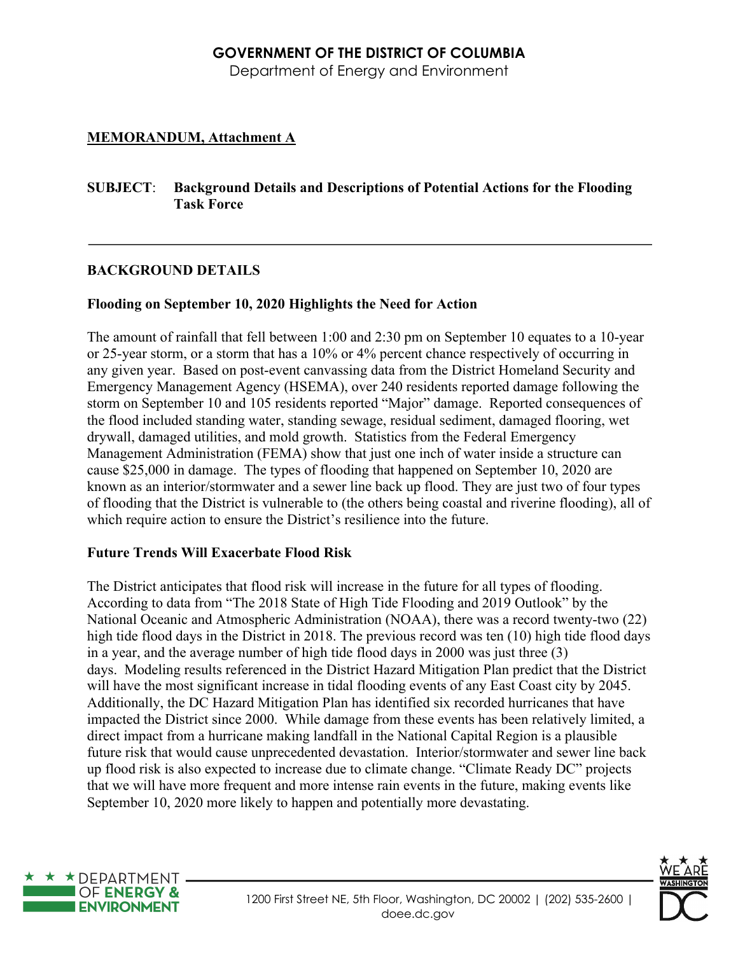# **GOVERNMENT OF THE DISTRICT OF COLUMBIA**

Department of Energy and Environment

# **MEMORANDUM, Attachment A**

## **SUBJECT**: **Background Details and Descriptions of Potential Actions for the Flooding Task Force**

# **BACKGROUND DETAILS**

# **Flooding on September 10, 2020 Highlights the Need for Action**

The amount of rainfall that fell between 1:00 and 2:30 pm on September 10 equates to a 10-year or 25-year storm, or a storm that has a 10% or 4% percent chance respectively of occurring in any given year. Based on post-event canvassing data from the District Homeland Security and Emergency Management Agency (HSEMA), over 240 residents reported damage following the storm on September 10 and 105 residents reported "Major" damage. Reported consequences of the flood included standing water, standing sewage, residual sediment, damaged flooring, wet drywall, damaged utilities, and mold growth. Statistics from the Federal Emergency Management Administration (FEMA) show that just one inch of water inside a structure can cause \$25,000 in damage. The types of flooding that happened on September 10, 2020 are known as an interior/stormwater and a sewer line back up flood. They are just two of four types of flooding that the District is vulnerable to (the others being coastal and riverine flooding), all of which require action to ensure the District's resilience into the future.

# **Future Trends Will Exacerbate Flood Risk**

The District anticipates that flood risk will increase in the future for all types of flooding. According to data from "The 2018 State of High Tide Flooding and 2019 Outlook" by the National Oceanic and Atmospheric Administration (NOAA), there was a record twenty-two (22) high tide flood days in the District in 2018. The previous record was ten (10) high tide flood days in a year, and the average number of high tide flood days in 2000 was just three (3) days. Modeling results referenced in the District Hazard Mitigation Plan predict that the District will have the most significant increase in tidal flooding events of any East Coast city by 2045. Additionally, the DC Hazard Mitigation Plan has identified six recorded hurricanes that have impacted the District since 2000. While damage from these events has been relatively limited, a direct impact from a hurricane making landfall in the National Capital Region is a plausible future risk that would cause unprecedented devastation. Interior/stormwater and sewer line back up flood risk is also expected to increase due to climate change. "Climate Ready DC" projects that we will have more frequent and more intense rain events in the future, making events like September 10, 2020 more likely to happen and potentially more devastating.



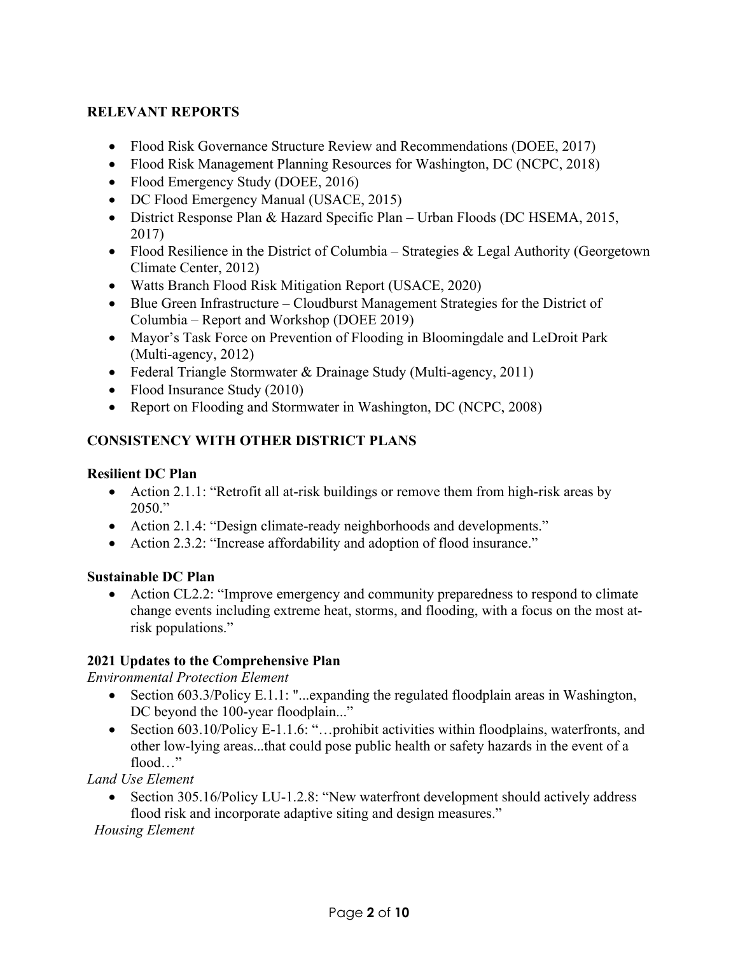# **RELEVANT REPORTS**

- Flood Risk Governance Structure Review and Recommendations (DOEE, 2017)
- Flood Risk Management Planning Resources for Washington, DC (NCPC, 2018)
- Flood Emergency Study (DOEE, 2016)
- DC Flood Emergency Manual (USACE, 2015)
- District Response Plan & Hazard Specific Plan Urban Floods (DC HSEMA, 2015, 2017)
- Flood Resilience in the District of Columbia Strategies & Legal Authority (Georgetown Climate Center, 2012)
- Watts Branch Flood Risk Mitigation Report (USACE, 2020)
- Blue Green Infrastructure Cloudburst Management Strategies for the District of Columbia – Report and Workshop (DOEE 2019)
- Mayor's Task Force on Prevention of Flooding in Bloomingdale and LeDroit Park (Multi-agency, 2012)
- Federal Triangle Stormwater & Drainage Study (Multi-agency, 2011)
- Flood Insurance Study (2010)
- Report on Flooding and Stormwater in Washington, DC (NCPC, 2008)

# **CONSISTENCY WITH OTHER DISTRICT PLANS**

## **Resilient DC Plan**

- Action 2.1.1: "Retrofit all at-risk buildings or remove them from high-risk areas by 2050."
- Action 2.1.4: "Design climate-ready neighborhoods and developments."
- Action 2.3.2: "Increase affordability and adoption of flood insurance."

# **Sustainable DC Plan**

• Action CL2.2: "Improve emergency and community preparedness to respond to climate change events including extreme heat, storms, and flooding, with a focus on the most atrisk populations."

# **2021 Updates to the Comprehensive Plan**

*Environmental Protection Element* 

- Section 603.3/Policy E.1.1: "...expanding the regulated floodplain areas in Washington, DC beyond the 100-year floodplain..."
- Section 603.10/Policy E-1.1.6: "...prohibit activities within floodplains, waterfronts, and other low-lying areas...that could pose public health or safety hazards in the event of a flood…"

*Land Use Element* 

• Section 305.16/Policy LU-1.2.8: "New waterfront development should actively address flood risk and incorporate adaptive siting and design measures."

*Housing Element*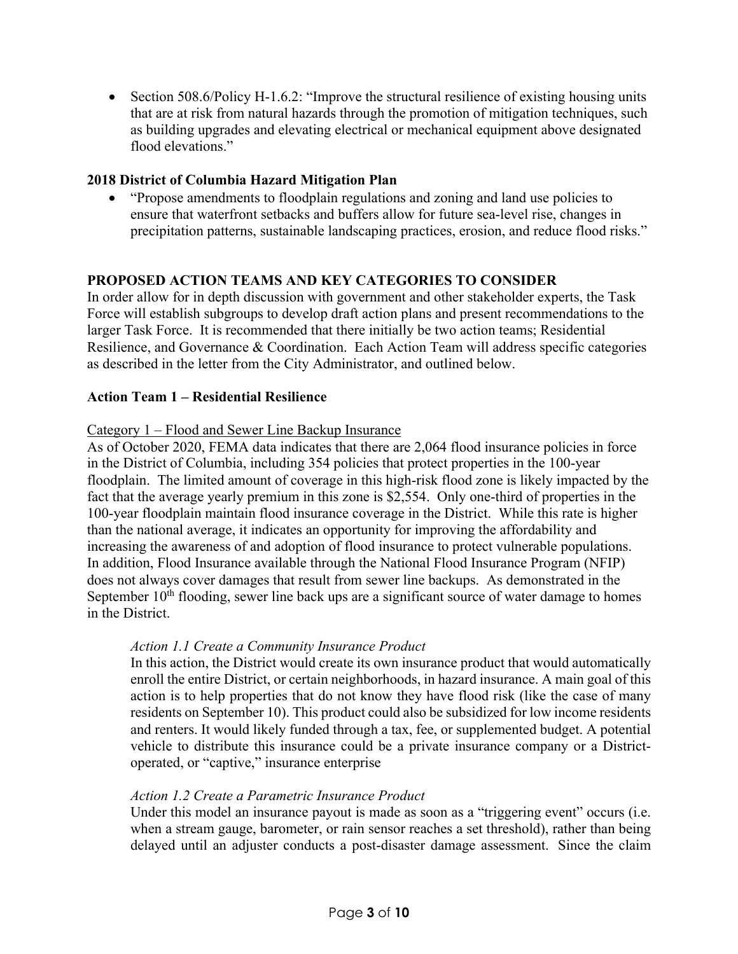• Section 508.6/Policy H-1.6.2: "Improve the structural resilience of existing housing units that are at risk from natural hazards through the promotion of mitigation techniques, such as building upgrades and elevating electrical or mechanical equipment above designated flood elevations."

## **2018 District of Columbia Hazard Mitigation Plan**

• "Propose amendments to floodplain regulations and zoning and land use policies to ensure that waterfront setbacks and buffers allow for future sea-level rise, changes in precipitation patterns, sustainable landscaping practices, erosion, and reduce flood risks."

## **PROPOSED ACTION TEAMS AND KEY CATEGORIES TO CONSIDER**

In order allow for in depth discussion with government and other stakeholder experts, the Task Force will establish subgroups to develop draft action plans and present recommendations to the larger Task Force. It is recommended that there initially be two action teams; Residential Resilience, and Governance & Coordination. Each Action Team will address specific categories as described in the letter from the City Administrator, and outlined below.

### **Action Team 1 – Residential Resilience**

#### Category 1 – Flood and Sewer Line Backup Insurance

As of October 2020, FEMA data indicates that there are 2,064 flood insurance policies in force in the District of Columbia, including 354 policies that protect properties in the 100-year floodplain. The limited amount of coverage in this high-risk flood zone is likely impacted by the fact that the average yearly premium in this zone is \$2,554. Only one-third of properties in the 100-year floodplain maintain flood insurance coverage in the District. While this rate is higher than the national average, it indicates an opportunity for improving the affordability and increasing the awareness of and adoption of flood insurance to protect vulnerable populations. In addition, Flood Insurance available through the National Flood Insurance Program (NFIP) does not always cover damages that result from sewer line backups. As demonstrated in the September  $10<sup>th</sup>$  flooding, sewer line back ups are a significant source of water damage to homes in the District.

### *Action 1.1 Create a Community Insurance Product*

In this action, the District would create its own insurance product that would automatically enroll the entire District, or certain neighborhoods, in hazard insurance. A main goal of this action is to help properties that do not know they have flood risk (like the case of many residents on September 10). This product could also be subsidized for low income residents and renters. It would likely funded through a tax, fee, or supplemented budget. A potential vehicle to distribute this insurance could be a private insurance company or a Districtoperated, or "captive," insurance enterprise

#### *Action 1.2 Create a Parametric Insurance Product*

Under this model an insurance payout is made as soon as a "triggering event" occurs (i.e. when a stream gauge, barometer, or rain sensor reaches a set threshold), rather than being delayed until an adjuster conducts a post-disaster damage assessment. Since the claim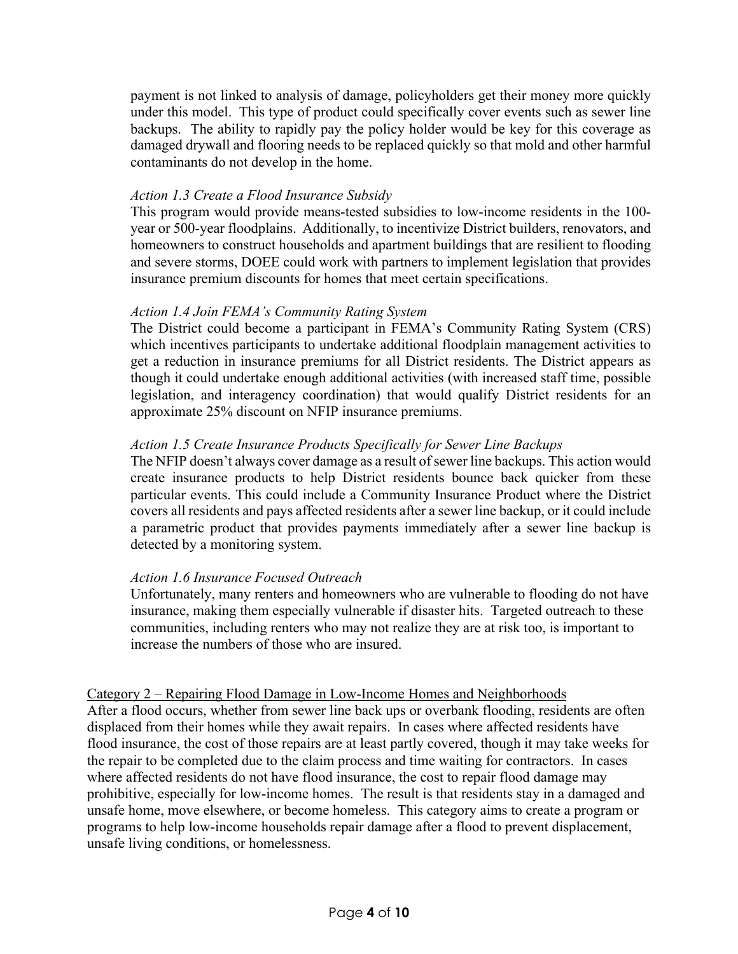payment is not linked to analysis of damage, policyholders get their money more quickly under this model. This type of product could specifically cover events such as sewer line backups. The ability to rapidly pay the policy holder would be key for this coverage as damaged drywall and flooring needs to be replaced quickly so that mold and other harmful contaminants do not develop in the home.

#### *Action 1.3 Create a Flood Insurance Subsidy*

This program would provide means-tested subsidies to low-income residents in the 100 year or 500-year floodplains. Additionally, to incentivize District builders, renovators, and homeowners to construct households and apartment buildings that are resilient to flooding and severe storms, DOEE could work with partners to implement legislation that provides insurance premium discounts for homes that meet certain specifications.

#### *Action 1.4 Join FEMA's Community Rating System*

The District could become a participant in FEMA's Community Rating System (CRS) which incentives participants to undertake additional floodplain management activities to get a reduction in insurance premiums for all District residents. The District appears as though it could undertake enough additional activities (with increased staff time, possible legislation, and interagency coordination) that would qualify District residents for an approximate 25% discount on NFIP insurance premiums.

#### *Action 1.5 Create Insurance Products Specifically for Sewer Line Backups*

The NFIP doesn't always cover damage as a result of sewer line backups. This action would create insurance products to help District residents bounce back quicker from these particular events. This could include a Community Insurance Product where the District covers all residents and pays affected residents after a sewer line backup, or it could include a parametric product that provides payments immediately after a sewer line backup is detected by a monitoring system.

### *Action 1.6 Insurance Focused Outreach*

Unfortunately, many renters and homeowners who are vulnerable to flooding do not have insurance, making them especially vulnerable if disaster hits. Targeted outreach to these communities, including renters who may not realize they are at risk too, is important to increase the numbers of those who are insured.

### Category 2 – Repairing Flood Damage in Low-Income Homes and Neighborhoods

After a flood occurs, whether from sewer line back ups or overbank flooding, residents are often displaced from their homes while they await repairs. In cases where affected residents have flood insurance, the cost of those repairs are at least partly covered, though it may take weeks for the repair to be completed due to the claim process and time waiting for contractors. In cases where affected residents do not have flood insurance, the cost to repair flood damage may prohibitive, especially for low-income homes. The result is that residents stay in a damaged and unsafe home, move elsewhere, or become homeless. This category aims to create a program or programs to help low-income households repair damage after a flood to prevent displacement, unsafe living conditions, or homelessness.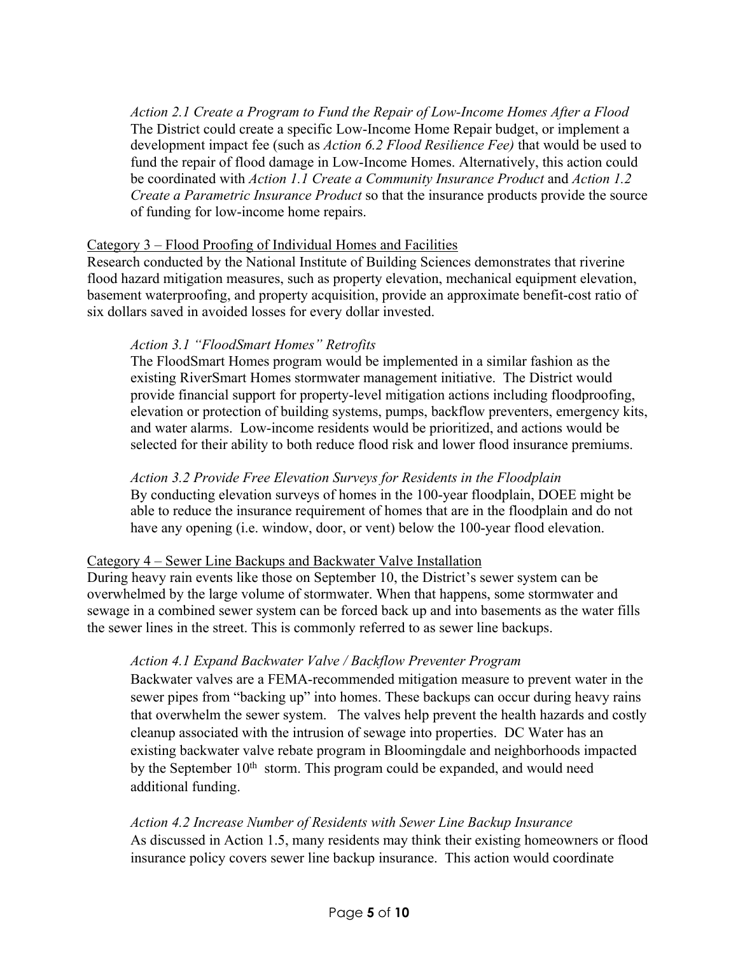*Action 2.1 Create a Program to Fund the Repair of Low-Income Homes After a Flood* The District could create a specific Low-Income Home Repair budget, or implement a development impact fee (such as *Action 6.2 Flood Resilience Fee)* that would be used to fund the repair of flood damage in Low-Income Homes. Alternatively, this action could be coordinated with *Action 1.1 Create a Community Insurance Product* and *Action 1.2 Create a Parametric Insurance Product* so that the insurance products provide the source of funding for low-income home repairs.

## Category 3 – Flood Proofing of Individual Homes and Facilities

Research conducted by the National Institute of Building Sciences demonstrates that riverine flood hazard mitigation measures, such as property elevation, mechanical equipment elevation, basement waterproofing, and property acquisition, provide an approximate benefit-cost ratio of six dollars saved in avoided losses for every dollar invested.

## *Action 3.1 "FloodSmart Homes" Retrofits*

The FloodSmart Homes program would be implemented in a similar fashion as the existing RiverSmart Homes stormwater management initiative. The District would provide financial support for property-level mitigation actions including floodproofing, elevation or protection of building systems, pumps, backflow preventers, emergency kits, and water alarms. Low-income residents would be prioritized, and actions would be selected for their ability to both reduce flood risk and lower flood insurance premiums.

## *Action 3.2 Provide Free Elevation Surveys for Residents in the Floodplain*

By conducting elevation surveys of homes in the 100-year floodplain, DOEE might be able to reduce the insurance requirement of homes that are in the floodplain and do not have any opening (i.e. window, door, or vent) below the 100-year flood elevation.

# Category 4 – Sewer Line Backups and Backwater Valve Installation

During heavy rain events like those on September 10, the District's sewer system can be overwhelmed by the large volume of stormwater. When that happens, some stormwater and sewage in a combined sewer system can be forced back up and into basements as the water fills the sewer lines in the street. This is commonly referred to as sewer line backups.

# *Action 4.1 Expand Backwater Valve / Backflow Preventer Program*

Backwater valves are a FEMA-recommended mitigation measure to prevent water in the sewer pipes from "backing up" into homes. These backups can occur during heavy rains that overwhelm the sewer system. The valves help prevent the health hazards and costly cleanup associated with the intrusion of sewage into properties. DC Water has an existing backwater valve rebate program in Bloomingdale and neighborhoods impacted by the September  $10<sup>th</sup>$  storm. This program could be expanded, and would need additional funding.

*Action 4.2 Increase Number of Residents with Sewer Line Backup Insurance* As discussed in Action 1.5, many residents may think their existing homeowners or flood insurance policy covers sewer line backup insurance. This action would coordinate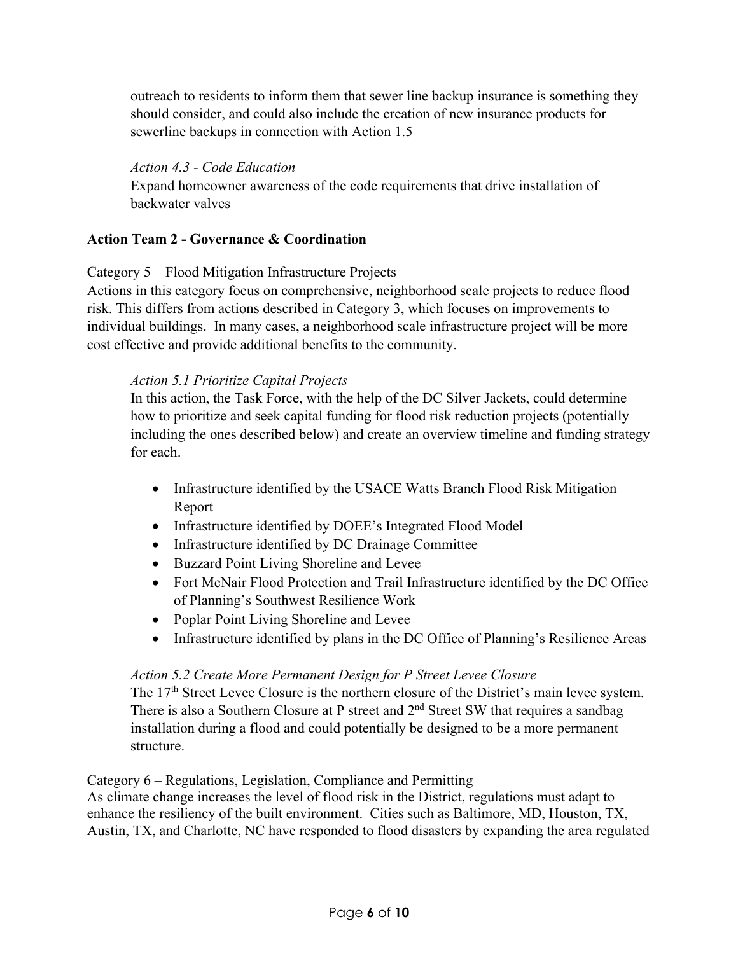outreach to residents to inform them that sewer line backup insurance is something they should consider, and could also include the creation of new insurance products for sewerline backups in connection with Action 1.5

## *Action 4.3 - Code Education*

Expand homeowner awareness of the code requirements that drive installation of backwater valves

## **Action Team 2 - Governance & Coordination**

## Category 5 – Flood Mitigation Infrastructure Projects

Actions in this category focus on comprehensive, neighborhood scale projects to reduce flood risk. This differs from actions described in Category 3, which focuses on improvements to individual buildings. In many cases, a neighborhood scale infrastructure project will be more cost effective and provide additional benefits to the community.

## *Action 5.1 Prioritize Capital Projects*

In this action, the Task Force, with the help of the DC Silver Jackets, could determine how to prioritize and seek capital funding for flood risk reduction projects (potentially including the ones described below) and create an overview timeline and funding strategy for each.

- Infrastructure identified by the USACE Watts Branch Flood Risk Mitigation Report
- Infrastructure identified by DOEE's Integrated Flood Model
- Infrastructure identified by DC Drainage Committee
- Buzzard Point Living Shoreline and Levee
- Fort McNair Flood Protection and Trail Infrastructure identified by the DC Office of Planning's Southwest Resilience Work
- Poplar Point Living Shoreline and Levee
- Infrastructure identified by plans in the DC Office of Planning's Resilience Areas

# *Action 5.2 Create More Permanent Design for P Street Levee Closure*

The 17<sup>th</sup> Street Levee Closure is the northern closure of the District's main levee system. There is also a Southern Closure at P street and 2<sup>nd</sup> Street SW that requires a sandbag installation during a flood and could potentially be designed to be a more permanent structure.

### Category 6 – Regulations, Legislation, Compliance and Permitting

As climate change increases the level of flood risk in the District, regulations must adapt to enhance the resiliency of the built environment. Cities such as Baltimore, MD, Houston, TX, Austin, TX, and Charlotte, NC have responded to flood disasters by expanding the area regulated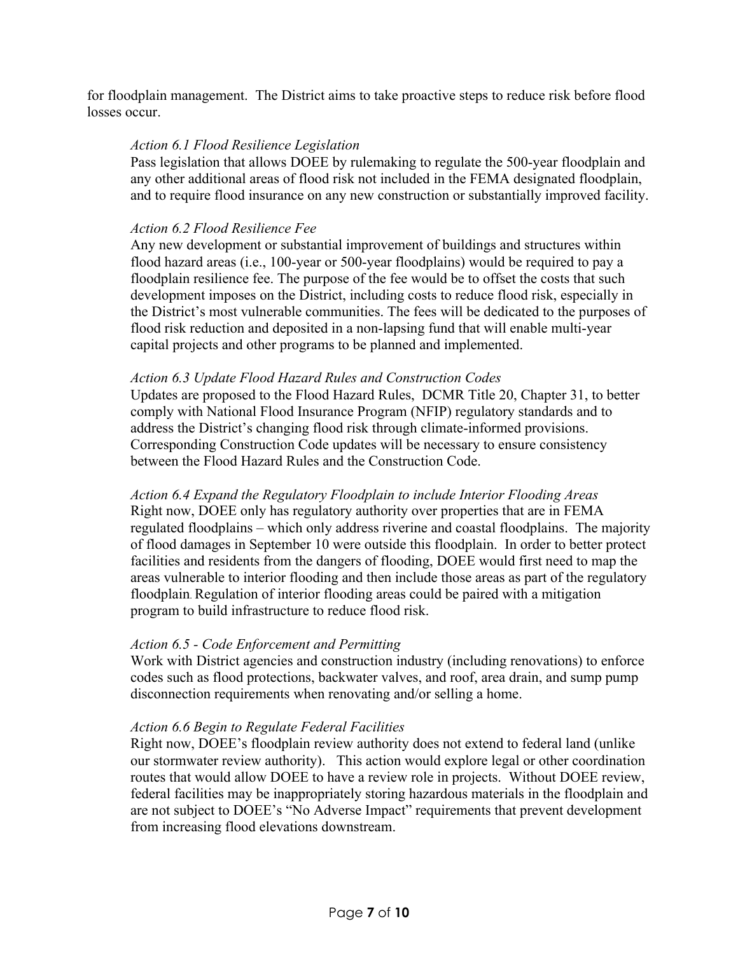for floodplain management. The District aims to take proactive steps to reduce risk before flood losses occur.

### *Action 6.1 Flood Resilience Legislation*

Pass legislation that allows DOEE by rulemaking to regulate the 500-year floodplain and any other additional areas of flood risk not included in the FEMA designated floodplain, and to require flood insurance on any new construction or substantially improved facility.

### *Action 6.2 Flood Resilience Fee*

Any new development or substantial improvement of buildings and structures within flood hazard areas (i.e., 100-year or 500-year floodplains) would be required to pay a floodplain resilience fee. The purpose of the fee would be to offset the costs that such development imposes on the District, including costs to reduce flood risk, especially in the District's most vulnerable communities. The fees will be dedicated to the purposes of flood risk reduction and deposited in a non-lapsing fund that will enable multi-year capital projects and other programs to be planned and implemented.

### *Action 6.3 Update Flood Hazard Rules and Construction Codes*

Updates are proposed to the Flood Hazard Rules, DCMR Title 20, Chapter 31, to better comply with National Flood Insurance Program (NFIP) regulatory standards and to address the District's changing flood risk through climate-informed provisions. Corresponding Construction Code updates will be necessary to ensure consistency between the Flood Hazard Rules and the Construction Code.

*Action 6.4 Expand the Regulatory Floodplain to include Interior Flooding Areas*  Right now, DOEE only has regulatory authority over properties that are in FEMA regulated floodplains – which only address riverine and coastal floodplains. The majority of flood damages in September 10 were outside this floodplain. In order to better protect facilities and residents from the dangers of flooding, DOEE would first need to map the areas vulnerable to interior flooding and then include those areas as part of the regulatory floodplain. Regulation of interior flooding areas could be paired with a mitigation program to build infrastructure to reduce flood risk.

### *Action 6.5 - Code Enforcement and Permitting*

Work with District agencies and construction industry (including renovations) to enforce codes such as flood protections, backwater valves, and roof, area drain, and sump pump disconnection requirements when renovating and/or selling a home.

### *Action 6.6 Begin to Regulate Federal Facilities*

Right now, DOEE's floodplain review authority does not extend to federal land (unlike our stormwater review authority). This action would explore legal or other coordination routes that would allow DOEE to have a review role in projects. Without DOEE review, federal facilities may be inappropriately storing hazardous materials in the floodplain and are not subject to DOEE's "No Adverse Impact" requirements that prevent development from increasing flood elevations downstream.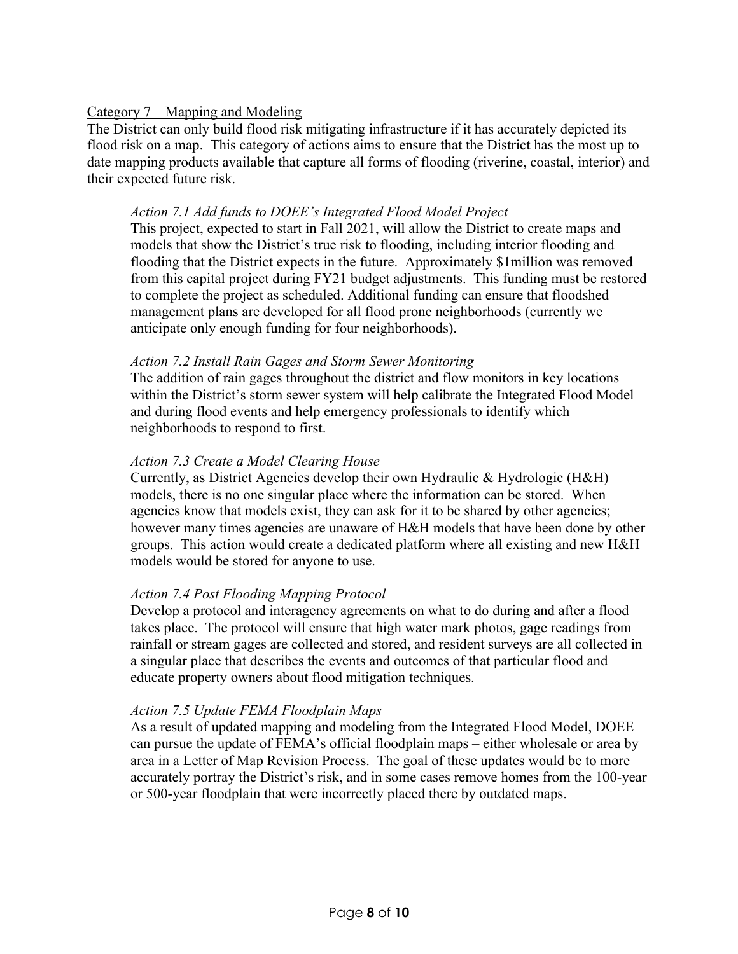## Category 7 – Mapping and Modeling

The District can only build flood risk mitigating infrastructure if it has accurately depicted its flood risk on a map. This category of actions aims to ensure that the District has the most up to date mapping products available that capture all forms of flooding (riverine, coastal, interior) and their expected future risk.

## *Action 7.1 Add funds to DOEE's Integrated Flood Model Project*

This project, expected to start in Fall 2021, will allow the District to create maps and models that show the District's true risk to flooding, including interior flooding and flooding that the District expects in the future. Approximately \$1million was removed from this capital project during FY21 budget adjustments. This funding must be restored to complete the project as scheduled. Additional funding can ensure that floodshed management plans are developed for all flood prone neighborhoods (currently we anticipate only enough funding for four neighborhoods).

## *Action 7.2 Install Rain Gages and Storm Sewer Monitoring*

The addition of rain gages throughout the district and flow monitors in key locations within the District's storm sewer system will help calibrate the Integrated Flood Model and during flood events and help emergency professionals to identify which neighborhoods to respond to first.

## *Action 7.3 Create a Model Clearing House*

Currently, as District Agencies develop their own Hydraulic & Hydrologic (H&H) models, there is no one singular place where the information can be stored. When agencies know that models exist, they can ask for it to be shared by other agencies; however many times agencies are unaware of H&H models that have been done by other groups. This action would create a dedicated platform where all existing and new H&H models would be stored for anyone to use.

# *Action 7.4 Post Flooding Mapping Protocol*

Develop a protocol and interagency agreements on what to do during and after a flood takes place. The protocol will ensure that high water mark photos, gage readings from rainfall or stream gages are collected and stored, and resident surveys are all collected in a singular place that describes the events and outcomes of that particular flood and educate property owners about flood mitigation techniques.

### *Action 7.5 Update FEMA Floodplain Maps*

As a result of updated mapping and modeling from the Integrated Flood Model, DOEE can pursue the update of FEMA's official floodplain maps – either wholesale or area by area in a Letter of Map Revision Process. The goal of these updates would be to more accurately portray the District's risk, and in some cases remove homes from the 100-year or 500-year floodplain that were incorrectly placed there by outdated maps.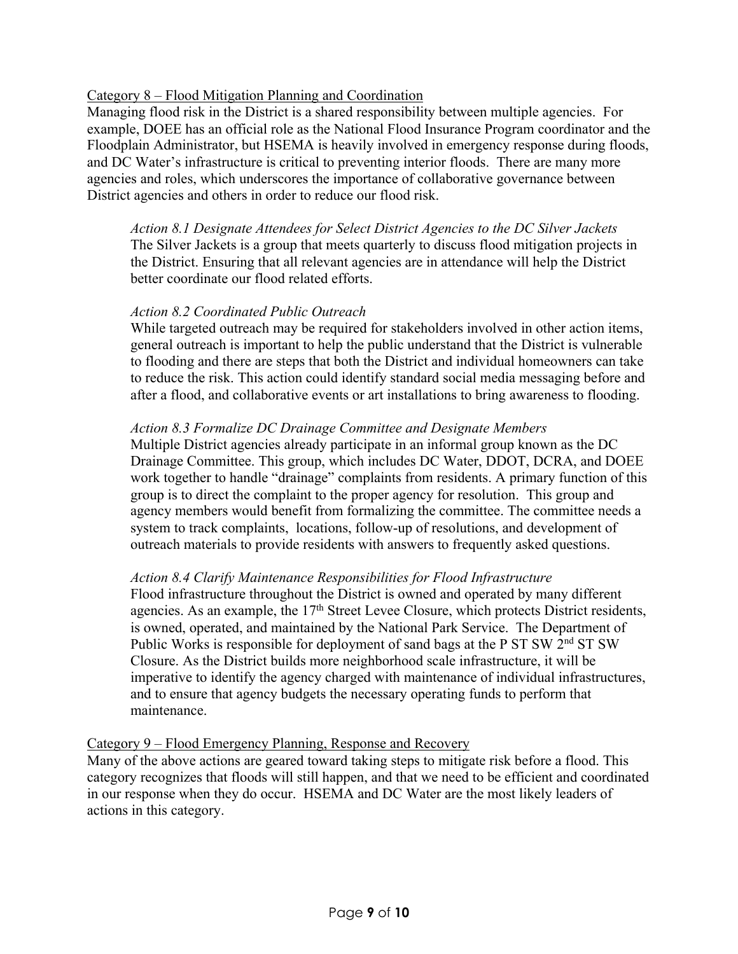## Category 8 – Flood Mitigation Planning and Coordination

Managing flood risk in the District is a shared responsibility between multiple agencies. For example, DOEE has an official role as the National Flood Insurance Program coordinator and the Floodplain Administrator, but HSEMA is heavily involved in emergency response during floods, and DC Water's infrastructure is critical to preventing interior floods. There are many more agencies and roles, which underscores the importance of collaborative governance between District agencies and others in order to reduce our flood risk.

*Action 8.1 Designate Attendees for Select District Agencies to the DC Silver Jackets* The Silver Jackets is a group that meets quarterly to discuss flood mitigation projects in the District. Ensuring that all relevant agencies are in attendance will help the District better coordinate our flood related efforts.

## *Action 8.2 Coordinated Public Outreach*

While targeted outreach may be required for stakeholders involved in other action items, general outreach is important to help the public understand that the District is vulnerable to flooding and there are steps that both the District and individual homeowners can take to reduce the risk. This action could identify standard social media messaging before and after a flood, and collaborative events or art installations to bring awareness to flooding.

### *Action 8.3 Formalize DC Drainage Committee and Designate Members*

Multiple District agencies already participate in an informal group known as the DC Drainage Committee. This group, which includes DC Water, DDOT, DCRA, and DOEE work together to handle "drainage" complaints from residents. A primary function of this group is to direct the complaint to the proper agency for resolution. This group and agency members would benefit from formalizing the committee. The committee needs a system to track complaints, locations, follow-up of resolutions, and development of outreach materials to provide residents with answers to frequently asked questions.

### *Action 8.4 Clarify Maintenance Responsibilities for Flood Infrastructure*

Flood infrastructure throughout the District is owned and operated by many different agencies. As an example, the 17<sup>th</sup> Street Levee Closure, which protects District residents, is owned, operated, and maintained by the National Park Service. The Department of Public Works is responsible for deployment of sand bags at the P ST SW 2<sup>nd</sup> ST SW Closure. As the District builds more neighborhood scale infrastructure, it will be imperative to identify the agency charged with maintenance of individual infrastructures, and to ensure that agency budgets the necessary operating funds to perform that maintenance.

### Category 9 – Flood Emergency Planning, Response and Recovery

Many of the above actions are geared toward taking steps to mitigate risk before a flood. This category recognizes that floods will still happen, and that we need to be efficient and coordinated in our response when they do occur. HSEMA and DC Water are the most likely leaders of actions in this category.